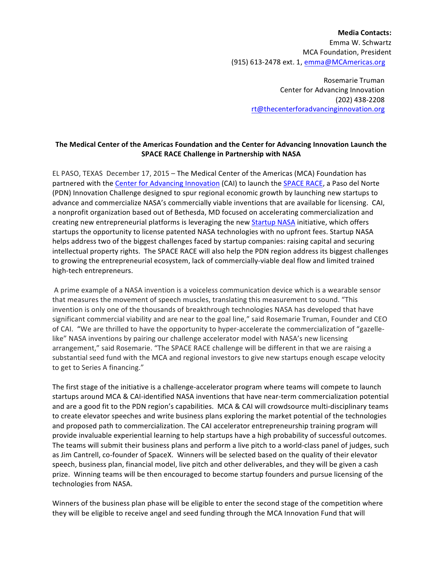**Media Contacts:** Emma W. Schwartz MCA Foundation, President (915) 613-2478 ext. 1, emma@MCAmericas.org

> Rosemarie Truman Center for Advancing Innovation (202) 438-2208 rt@thecenterforadvancinginnovation.org

## The Medical Center of the Americas Foundation and the Center for Advancing Innovation Launch the **SPACE RACE Challenge in Partnership with NASA**

EL PASO, TEXAS December 17, 2015 – The Medical Center of the Americas (MCA) Foundation has partnered with the Center for Advancing Innovation (CAI) to launch the SPACE RACE, a Paso del Norte (PDN) Innovation Challenge designed to spur regional economic growth by launching new startups to advance and commercialize NASA's commercially viable inventions that are available for licensing. CAI, a nonprofit organization based out of Bethesda, MD focused on accelerating commercialization and creating new entrepreneurial platforms is leveraging the new Startup NASA initiative, which offers startups the opportunity to license patented NASA technologies with no upfront fees. Startup NASA helps address two of the biggest challenges faced by startup companies: raising capital and securing intellectual property rights. The SPACE RACE will also help the PDN region address its biggest challenges to growing the entrepreneurial ecosystem, lack of commercially-viable deal flow and limited trained high-tech entrepreneurs. 

A prime example of a NASA invention is a voiceless communication device which is a wearable sensor that measures the movement of speech muscles, translating this measurement to sound. "This invention is only one of the thousands of breakthrough technologies NASA has developed that have significant commercial viability and are near to the goal line," said Rosemarie Truman, Founder and CEO of CAI. "We are thrilled to have the opportunity to hyper-accelerate the commercialization of "gazellelike" NASA inventions by pairing our challenge accelerator model with NASA's new licensing arrangement," said Rosemarie. "The SPACE RACE challenge will be different in that we are raising a substantial seed fund with the MCA and regional investors to give new startups enough escape velocity to get to Series A financing."

The first stage of the initiative is a challenge-accelerator program where teams will compete to launch startups around MCA & CAI-identified NASA inventions that have near-term commercialization potential and are a good fit to the PDN region's capabilities. MCA & CAI will crowdsource multi-disciplinary teams to create elevator speeches and write business plans exploring the market potential of the technologies and proposed path to commercialization. The CAI accelerator entrepreneurship training program will provide invaluable experiential learning to help startups have a high probability of successful outcomes. The teams will submit their business plans and perform a live pitch to a world-class panel of judges, such as Jim Cantrell, co-founder of SpaceX. Winners will be selected based on the quality of their elevator speech, business plan, financial model, live pitch and other deliverables, and they will be given a cash prize. Winning teams will be then encouraged to become startup founders and pursue licensing of the technologies from NASA.

Winners of the business plan phase will be eligible to enter the second stage of the competition where they will be eligible to receive angel and seed funding through the MCA Innovation Fund that will